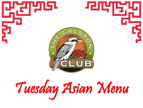